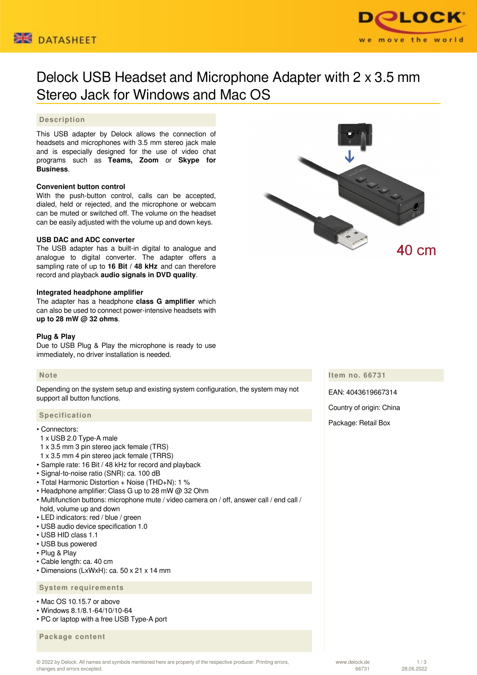



# Delock USB Headset and Microphone Adapter with 2 x 3.5 mm Stereo Jack for Windows and Mac OS

# **Description**

This USB adapter by Delock allows the connection of headsets and microphones with 3.5 mm stereo jack male and is especially designed for the use of video chat programs such as **Teams, Zoom** or **Skype for Business**.

## **Convenient button control**

With the push-button control, calls can be accepted, dialed, held or rejected, and the microphone or webcam can be muted or switched off. The volume on the headset can be easily adjusted with the volume up and down keys.

#### **USB DAC and ADC converter**

The USB adapter has a built-in digital to analogue and analogue to digital converter. The adapter offers a sampling rate of up to **16 Bit / 48 kHz** and can therefore record and playback **audio signals in DVD quality**.

#### **Integrated headphone amplifier**

The adapter has a headphone **class G amplifier** which can also be used to connect power-intensive headsets with **up to 28 mW @ 32 ohms**.

#### **Plug & Play**

Due to USB Plug & Play the microphone is ready to use immediately, no driver installation is needed.

## **Note**

Depending on the system setup and existing system configuration, the system may not support all button functions.

#### **Specification**

- Connectors:
- 1 x USB 2.0 Type-A male
- 1 x 3.5 mm 3 pin stereo jack female (TRS)
- 1 x 3.5 mm 4 pin stereo jack female (TRRS)
- Sample rate: 16 Bit / 48 kHz for record and playback
- Signal-to-noise ratio (SNR): ca. 100 dB
- Total Harmonic Distortion + Noise (THD+N): 1 %
- Headphone amplifier: Class G up to 28 mW @ 32 Ohm
- Multifunction buttons: microphone mute / video camera on / off, answer call / end call / hold, volume up and down
- LED indicators: red / blue / green
- USB audio device specification 1.0
- USB HID class 1.1
- USB bus powered
- Plug & Play
- Cable length: ca. 40 cm
- Dimensions (LxWxH): ca. 50 x 21 x 14 mm

#### **System requirements**

- Mac OS 10.15.7 or above
- Windows 8.1/8.1-64/10/10-64
- PC or laptop with a free USB Type-A port

 **Package content**



**Item no. 66731**

EAN: 4043619667314

Constantino

40 cm

Country of origin: China

Package: Retail Box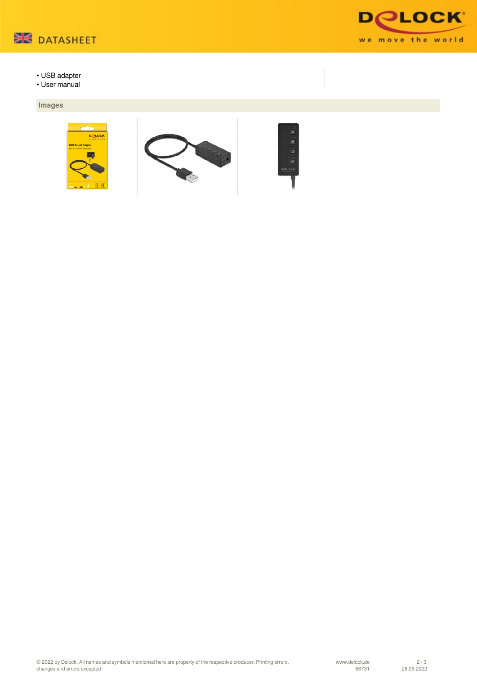

- USB adapter
- User manual

# **Images**